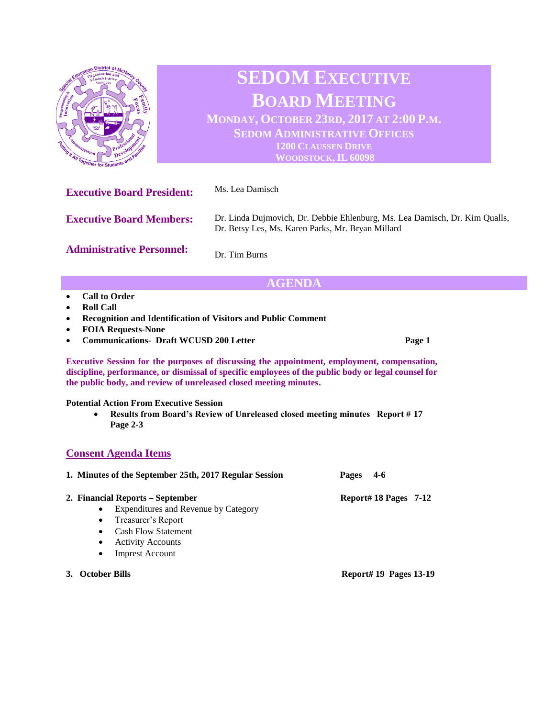

Dr. Tim Burns

## **AGENDA**

- **Call to Order**
- **Roll Call**
- **Recognition and Identification of Visitors and Public Comment**
- **FOIA Requests-None**
- **Communications- Draft WCUSD 200 Letter Page 1 Page 1**

**Executive Session for the purposes of discussing the appointment, employment, compensation, discipline, performance, or dismissal of specific employees of the public body or legal counsel for the public body, and review of unreleased closed meeting minutes.**

## **Potential Action From Executive Session**

• **Results from Board's Review of Unreleased closed meeting minutes Report # 17 Page 2-3**

## **Consent Agenda Items**

| 1. Minutes of the September 25th, 2017 Regular Session |                                      | $-4-6$<br>Pages       |  |
|--------------------------------------------------------|--------------------------------------|-----------------------|--|
|                                                        | 2. Financial Reports – September     | Report# 18 Pages 7-12 |  |
| $\bullet$                                              | Expenditures and Revenue by Category |                       |  |
|                                                        | • Treasurer's Report                 |                       |  |
| $\bullet$                                              | <b>Cash Flow Statement</b>           |                       |  |
| ٠                                                      | <b>Activity Accounts</b>             |                       |  |
|                                                        |                                      |                       |  |

- **Imprest Account**
- **3. October Bills Report# 19 Pages 13-19**